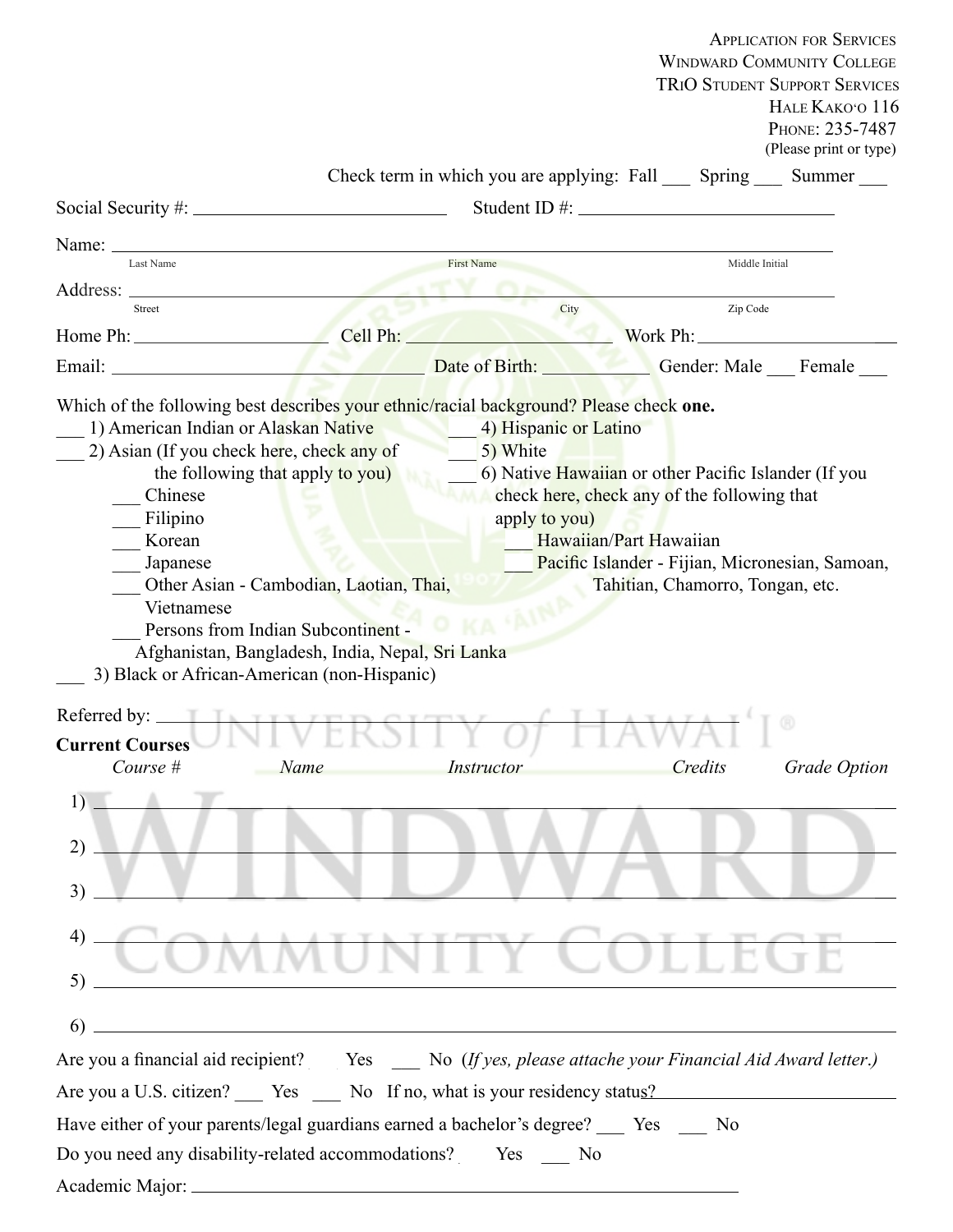|                                                                                                           |                                                                                                                                         |                       |                                                                              | <b>APPLICATION FOR SERVICES</b>                                           |
|-----------------------------------------------------------------------------------------------------------|-----------------------------------------------------------------------------------------------------------------------------------------|-----------------------|------------------------------------------------------------------------------|---------------------------------------------------------------------------|
|                                                                                                           |                                                                                                                                         |                       |                                                                              | <b>WINDWARD COMMUNITY COLLEGE</b><br><b>TRIO STUDENT SUPPORT SERVICES</b> |
|                                                                                                           |                                                                                                                                         |                       |                                                                              | HALE KAKO'O 116                                                           |
|                                                                                                           |                                                                                                                                         |                       |                                                                              | PHONE: 235-7487                                                           |
|                                                                                                           |                                                                                                                                         |                       |                                                                              | (Please print or type)                                                    |
|                                                                                                           |                                                                                                                                         |                       | Check term in which you are applying: Fall ______ Spring ______ Summer _____ |                                                                           |
|                                                                                                           |                                                                                                                                         |                       |                                                                              |                                                                           |
| Name: $\equiv$                                                                                            |                                                                                                                                         |                       |                                                                              |                                                                           |
| Last Name                                                                                                 | <b>First Name</b><br>Middle Initial                                                                                                     |                       |                                                                              |                                                                           |
| Street                                                                                                    |                                                                                                                                         | City                  | Zip Code                                                                     |                                                                           |
| Home Ph: Cell Ph:                                                                                         |                                                                                                                                         |                       | Work Ph:                                                                     |                                                                           |
|                                                                                                           |                                                                                                                                         | Date of Birth:        |                                                                              | Gender: Male Female                                                       |
|                                                                                                           |                                                                                                                                         |                       |                                                                              |                                                                           |
| Which of the following best describes your ethnic/racial background? Please check one.                    |                                                                                                                                         |                       |                                                                              |                                                                           |
| 1) American Indian or Alaskan Native                                                                      |                                                                                                                                         | 4) Hispanic or Latino |                                                                              |                                                                           |
| 2) Asian (If you check here, check any of                                                                 |                                                                                                                                         | 5) White              |                                                                              |                                                                           |
| Chinese                                                                                                   | 6) Native Hawaiian or other Pacific Islander (If you<br>the following that apply to you)<br>check here, check any of the following that |                       |                                                                              |                                                                           |
| Filipino                                                                                                  | apply to you)                                                                                                                           |                       |                                                                              |                                                                           |
| Korean                                                                                                    | Hawaiian/Part Hawaiian                                                                                                                  |                       |                                                                              |                                                                           |
| Japanese                                                                                                  | Pacific Islander - Fijian, Micronesian, Samoan,                                                                                         |                       |                                                                              |                                                                           |
|                                                                                                           | Other Asian - Cambodian, Laotian, Thai,                                                                                                 |                       | Tahitian, Chamorro, Tongan, etc.                                             |                                                                           |
| Vietnamese                                                                                                |                                                                                                                                         | AINA                  |                                                                              |                                                                           |
|                                                                                                           | Persons from Indian Subcontinent -                                                                                                      |                       |                                                                              |                                                                           |
|                                                                                                           | Afghanistan, Bangladesh, India, Nepal, Sri Lanka                                                                                        |                       |                                                                              |                                                                           |
| 3) Black or African-American (non-Hispanic)                                                               |                                                                                                                                         |                       |                                                                              |                                                                           |
| Referred by: $\_\_$                                                                                       | INITUED CITY                                                                                                                            |                       |                                                                              |                                                                           |
| <b>Current Courses</b>                                                                                    |                                                                                                                                         |                       |                                                                              |                                                                           |
| Course #                                                                                                  | Name                                                                                                                                    | Instructor            | Credits                                                                      | <b>Grade Option</b>                                                       |
|                                                                                                           |                                                                                                                                         |                       |                                                                              |                                                                           |
| 1)                                                                                                        |                                                                                                                                         |                       |                                                                              |                                                                           |
| 2)                                                                                                        |                                                                                                                                         |                       |                                                                              |                                                                           |
|                                                                                                           |                                                                                                                                         |                       |                                                                              |                                                                           |
| 3)                                                                                                        |                                                                                                                                         |                       |                                                                              |                                                                           |
|                                                                                                           |                                                                                                                                         |                       |                                                                              |                                                                           |
| 4)                                                                                                        |                                                                                                                                         |                       |                                                                              |                                                                           |
| 5)                                                                                                        |                                                                                                                                         |                       |                                                                              |                                                                           |
|                                                                                                           |                                                                                                                                         |                       |                                                                              |                                                                           |
| 6)                                                                                                        |                                                                                                                                         |                       |                                                                              |                                                                           |
| Are you a financial aid recipient? __ Yes __ No (If yes, please attache your Financial Aid Award letter.) |                                                                                                                                         |                       |                                                                              |                                                                           |
| Are you a U.S. citizen? Yes No If no, what is your residency status?                                      |                                                                                                                                         |                       |                                                                              |                                                                           |
| Have either of your parents/legal guardians earned a bachelor's degree? _____ Yes _____ No                |                                                                                                                                         |                       |                                                                              |                                                                           |
| Do you need any disability-related accommodations? _____ Yes _____ No                                     |                                                                                                                                         |                       |                                                                              |                                                                           |
| Academic Major: _                                                                                         |                                                                                                                                         |                       |                                                                              |                                                                           |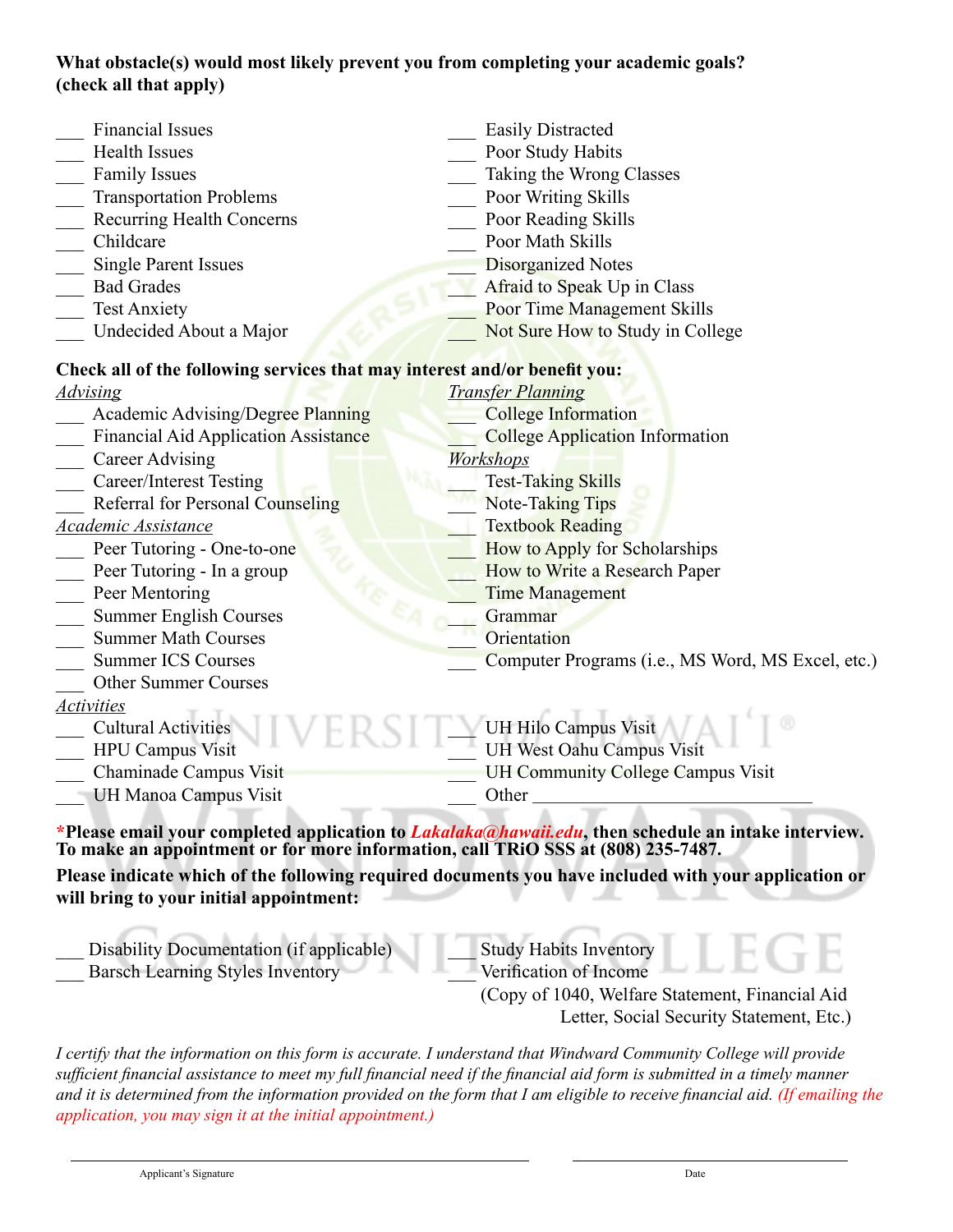# **What obstacle(s) would most likely prevent you from completing your academic goals? (check all that apply)**

| <b>Financial Issues</b>                                                          | <b>Easily Distracted</b>                                                                                    |  |  |
|----------------------------------------------------------------------------------|-------------------------------------------------------------------------------------------------------------|--|--|
| <b>Health Issues</b>                                                             | Poor Study Habits                                                                                           |  |  |
| <b>Family Issues</b>                                                             | Taking the Wrong Classes                                                                                    |  |  |
| <b>Transportation Problems</b>                                                   | Poor Writing Skills                                                                                         |  |  |
| <b>Recurring Health Concerns</b>                                                 | Poor Reading Skills                                                                                         |  |  |
| Childcare                                                                        | Poor Math Skills                                                                                            |  |  |
| <b>Single Parent Issues</b>                                                      | <b>Disorganized Notes</b>                                                                                   |  |  |
| <b>Bad Grades</b>                                                                | Afraid to Speak Up in Class                                                                                 |  |  |
| <b>Test Anxiety</b>                                                              | Poor Time Management Skills                                                                                 |  |  |
| Undecided About a Major                                                          | Not Sure How to Study in College                                                                            |  |  |
| Check all of the following services that may interest and/or benefit you:        |                                                                                                             |  |  |
| <u>Advising</u>                                                                  | <b>Transfer Planning</b>                                                                                    |  |  |
| <b>Academic Advising/Degree Planning</b>                                         | <b>College Information</b>                                                                                  |  |  |
| <b>Financial Aid Application Assistance</b>                                      | <b>College Application Information</b>                                                                      |  |  |
| <b>Career Advising</b>                                                           | Workshops                                                                                                   |  |  |
| <b>Career/Interest Testing</b>                                                   | <b>Test-Taking Skills</b>                                                                                   |  |  |
| Referral for Personal Counseling                                                 | <b>Note-Taking Tips</b>                                                                                     |  |  |
| Academic Assistance                                                              | <b>Textbook Reading</b>                                                                                     |  |  |
| Peer Tutoring - One-to-one                                                       | How to Apply for Scholarships                                                                               |  |  |
| Peer Tutoring - In a group                                                       | How to Write a Research Paper                                                                               |  |  |
| Peer Mentoring                                                                   | <b>Time Management</b>                                                                                      |  |  |
| <b>Summer English Courses</b>                                                    | Grammar                                                                                                     |  |  |
| <b>Summer Math Courses</b>                                                       | Orientation                                                                                                 |  |  |
| <b>Summer ICS Courses</b>                                                        | Computer Programs (i.e., MS Word, MS Excel, etc.)                                                           |  |  |
| Other Summer Courses                                                             |                                                                                                             |  |  |
| <b>Activities</b>                                                                |                                                                                                             |  |  |
| <b>Cultural Activities</b>                                                       | UH Hilo Campus Visit                                                                                        |  |  |
| <b>HPU Campus Visit</b>                                                          | UH West Oahu Campus Visit                                                                                   |  |  |
| Chaminade Campus Visit                                                           | <b>UH Community College Campus Visit</b>                                                                    |  |  |
| UH Manoa Campus Visit                                                            | Other                                                                                                       |  |  |
| To make an appointment or for more information, call TRiO SSS at (808) 235-7487. | *Please email your completed application to <i>Lakalaka@hawaii.edu</i> , then schedule an intake interview. |  |  |
|                                                                                  | Please indicate which of the following required documents you have included with your application or        |  |  |
| will bring to your initial appointment:                                          |                                                                                                             |  |  |
|                                                                                  |                                                                                                             |  |  |
| Disability Documentation (if applicable)                                         | <b>Study Habits Inventory</b>                                                                               |  |  |
| <b>Barsch Learning Styles Inventory</b>                                          | Verification of Income                                                                                      |  |  |

 Letter, Social Security Statement, Etc.) (Copy of 1040, Welfare Statement, Financial Aid

*I certify that the information on this form is accurate. I understand that Windward Community College will provide sufficient financial assistance to meet my full financial need if the financial aid form is submitted in a timely manner and it is determined from the information provided on the form that I am eligible to receive financial aid. (If emailing the application, you may sign it at the initial appointment.)*